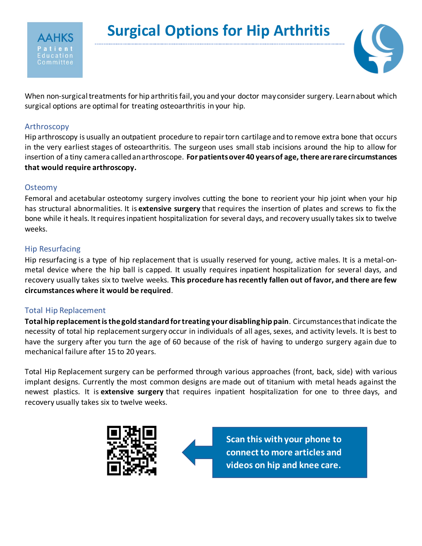



When non-surgical treatments for hip arthritis fail, you and your doctor may consider surgery. Learn about which surgical options are optimal for treating osteoarthritis in your hip.

## Arthroscopy

Hip arthroscopy is usually an outpatient procedure to repair torn cartilage and to remove extra bone that occurs in the very earliest stages of osteoarthritis. The surgeon uses small stab incisions around the hip to allow for insertion of a tiny camera called an arthroscope. **For patients over 40 years of age, there are rare circumstances that would require arthroscopy.**

## **Osteomy**

Femoral and acetabular osteotomy surgery involves cutting the bone to reorient your hip joint when your hip has structural abnormalities. It is **extensive surgery** that requires the insertion of plates and screws to fix the bone while it heals. It requires inpatient hospitalization for several days, and recovery usually takes six to twelve weeks.

## Hip Resurfacing

Hip resurfacing is a type of hip replacement that is usually reserved for young, active males. It is a metal-onmetal device where the hip ball is capped. It usually requires inpatient hospitalization for several days, and recovery usually takes six to twelve weeks. **This procedure has recently fallen out of favor, and there are few circumstances where it would be required**.

## Total Hip Replacement

**Total hip replacement is the gold standard for treating your disabling hip pain**. Circumstances that indicate the necessity of total hip replacement surgery occur in individuals of all ages, sexes, and activity levels. It is best to have the surgery after you turn the age of 60 because of the risk of having to undergo surgery again due to mechanical failure after 15 to 20 years.

Total Hip Replacement surgery can be performed through various approaches (front, back, side) with various implant designs. Currently the most common designs are made out of titanium with metal heads against the newest plastics. It is **extensive surgery** that requires inpatient hospitalization for one to three days, and recovery usually takes six to twelve weeks.



**Scan this with your phone to connect to more articles and videos on hip and knee care.**